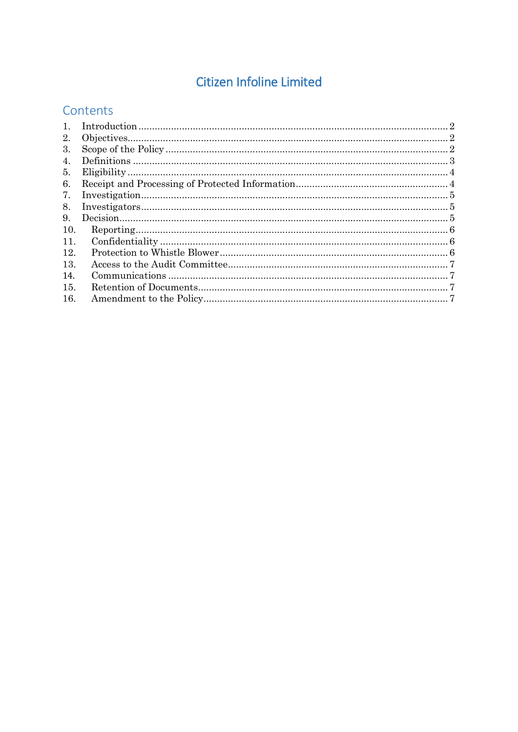# **Citizen Infoline Limited**

# Contents

| $\mathbf{1}_{\cdot}$ |  |
|----------------------|--|
| 2.                   |  |
| 3.                   |  |
| 4.                   |  |
| 5.                   |  |
| 6.                   |  |
| 7.                   |  |
| 8.                   |  |
| 9.                   |  |
| 10.                  |  |
| 11.                  |  |
| 12.                  |  |
| 13.                  |  |
| 14.                  |  |
| 15.                  |  |
| 16.                  |  |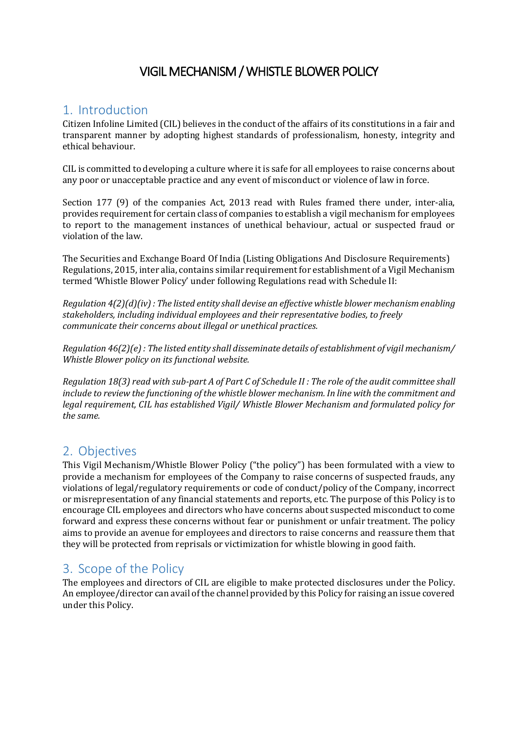# VIGIL MECHANISM / WHISTLE BLOWER POLICY

### <span id="page-1-0"></span>1. Introduction

Citizen Infoline Limited (CIL) believes in the conduct of the affairs of its constitutions in a fair and transparent manner by adopting highest standards of professionalism, honesty, integrity and ethical behaviour.

CIL is committed to developing a culture where it is safe for all employees to raise concerns about any poor or unacceptable practice and any event of misconduct or violence of law in force.

Section 177 (9) of the companies Act, 2013 read with Rules framed there under, inter-alia, provides requirement for certain class of companies to establish a vigil mechanism for employees to report to the management instances of unethical behaviour, actual or suspected fraud or violation of the law.

The Securities and Exchange Board Of India (Listing Obligations And Disclosure Requirements) Regulations, 2015, inter alia, contains similar requirement for establishment of a Vigil Mechanism termed 'Whistle Blower Policy' under following Regulations read with Schedule II:

*Regulation 4(2)(d)(iv) : The listed entity shall devise an effective whistle blower mechanism enabling stakeholders, including individual employees and their representative bodies, to freely communicate their concerns about illegal or unethical practices.*

*Regulation 46(2)(e) : The listed entity shall disseminate details of establishment of vigil mechanism/ Whistle Blower policy on its functional website.*

*Regulation 18(3) read with sub-part A of Part C of Schedule II : The role of the audit committee shall include to review the functioning of the whistle blower mechanism. In line with the commitment and legal requirement, CIL has established Vigil/ Whistle Blower Mechanism and formulated policy for the same.*

### <span id="page-1-1"></span>2. Objectives

This Vigil Mechanism/Whistle Blower Policy ("the policy") has been formulated with a view to provide a mechanism for employees of the Company to raise concerns of suspected frauds, any violations of legal/regulatory requirements or code of conduct/policy of the Company, incorrect or misrepresentation of any financial statements and reports, etc. The purpose of this Policy is to encourage CIL employees and directors who have concerns about suspected misconduct to come forward and express these concerns without fear or punishment or unfair treatment. The policy aims to provide an avenue for employees and directors to raise concerns and reassure them that they will be protected from reprisals or victimization for whistle blowing in good faith.

# <span id="page-1-2"></span>3. Scope of the Policy

The employees and directors of CIL are eligible to make protected disclosures under the Policy. An employee/director can avail of the channel provided by this Policy for raising an issue covered under this Policy.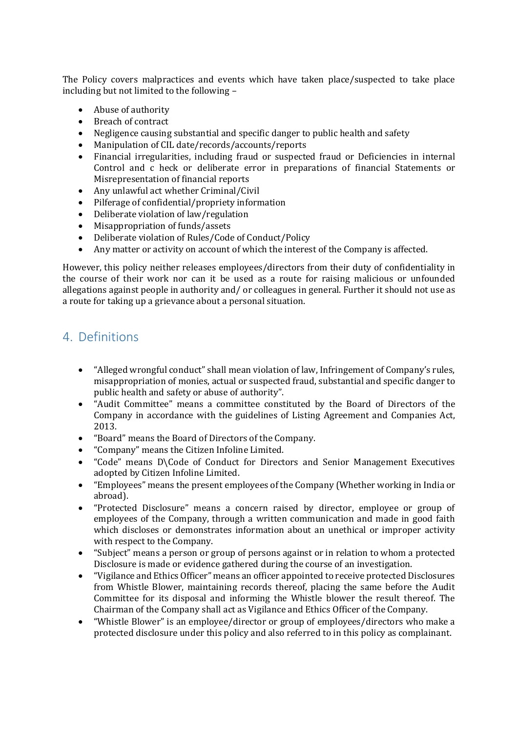The Policy covers malpractices and events which have taken place/suspected to take place including but not limited to the following –

- Abuse of authority
- Breach of contract
- Negligence causing substantial and specific danger to public health and safety
- Manipulation of CIL date/records/accounts/reports<br>• Financial irregularities, including fraud or suspecte
- Financial irregularities, including fraud or suspected fraud or Deficiencies in internal Control and c heck or deliberate error in preparations of financial Statements or Misrepresentation of financial reports
- Any unlawful act whether Criminal/Civil
- Pilferage of confidential/propriety information<br>• Deliberate violation of law/regulation
- Deliberate violation of law/regulation
- Misappropriation of funds/assets
- Deliberate violation of Rules/Code of Conduct/Policy
- Any matter or activity on account of which the interest of the Company is affected.

However, this policy neither releases employees/directors from their duty of confidentiality in the course of their work nor can it be used as a route for raising malicious or unfounded allegations against people in authority and/ or colleagues in general. Further it should not use as a route for taking up a grievance about a personal situation.

# <span id="page-2-0"></span>4. Definitions

- "Alleged wrongful conduct" shall mean violation of law, Infringement of Company's rules, misappropriation of monies, actual or suspected fraud, substantial and specific danger to public health and safety or abuse of authority".
- "Audit Committee" means a committee constituted by the Board of Directors of the Company in accordance with the guidelines of Listing Agreement and Companies Act, 2013.
- "Board" means the Board of Directors of the Company.
- "Company" means the Citizen Infoline Limited.
- "Code" means D\Code of Conduct for Directors and Senior Management Executives adopted by Citizen Infoline Limited.
- "Employees" means the present employees of the Company (Whether working in India or abroad).
- "Protected Disclosure" means a concern raised by director, employee or group of employees of the Company, through a written communication and made in good faith which discloses or demonstrates information about an unethical or improper activity with respect to the Company.
- "Subject" means a person or group of persons against or in relation to whom a protected Disclosure is made or evidence gathered during the course of an investigation.
- "Vigilance and Ethics Officer" means an officer appointed to receive protected Disclosures from Whistle Blower, maintaining records thereof, placing the same before the Audit Committee for its disposal and informing the Whistle blower the result thereof. The Chairman of the Company shall act as Vigilance and Ethics Officer of the Company.
- "Whistle Blower" is an employee/director or group of employees/directors who make a protected disclosure under this policy and also referred to in this policy as complainant.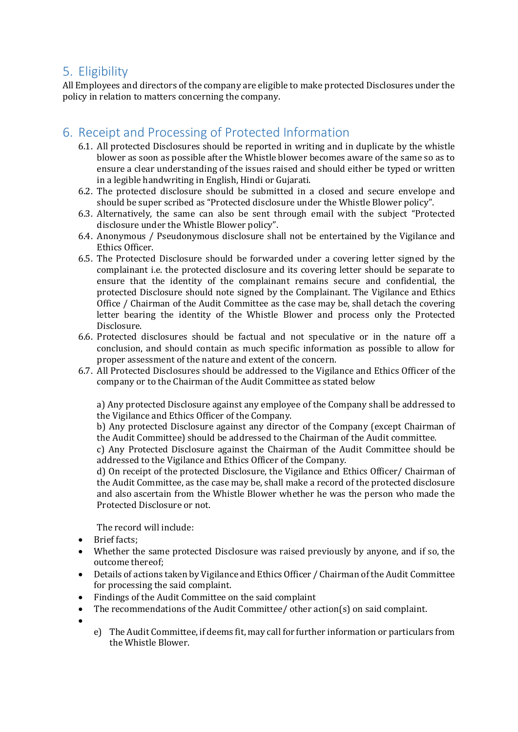## <span id="page-3-0"></span>5. Eligibility

All Employees and directors of the company are eligible to make protected Disclosures under the policy in relation to matters concerning the company.

# <span id="page-3-1"></span>6. Receipt and Processing of Protected Information

- 6.1. All protected Disclosures should be reported in writing and in duplicate by the whistle blower as soon as possible after the Whistle blower becomes aware of the same so as to ensure a clear understanding of the issues raised and should either be typed or written in a legible handwriting in English, Hindi or Gujarati.
- 6.2. The protected disclosure should be submitted in a closed and secure envelope and should be super scribed as "Protected disclosure under the Whistle Blower policy".
- 6.3. Alternatively, the same can also be sent through email with the subject "Protected disclosure under the Whistle Blower policy".
- 6.4. Anonymous / Pseudonymous disclosure shall not be entertained by the Vigilance and Ethics Officer.
- 6.5. The Protected Disclosure should be forwarded under a covering letter signed by the complainant i.e. the protected disclosure and its covering letter should be separate to ensure that the identity of the complainant remains secure and confidential, the protected Disclosure should note signed by the Complainant. The Vigilance and Ethics Office / Chairman of the Audit Committee as the case may be, shall detach the covering letter bearing the identity of the Whistle Blower and process only the Protected Disclosure.
- 6.6. Protected disclosures should be factual and not speculative or in the nature off a conclusion, and should contain as much specific information as possible to allow for proper assessment of the nature and extent of the concern.
- 6.7. All Protected Disclosures should be addressed to the Vigilance and Ethics Officer of the company or to the Chairman of the Audit Committee as stated below

a) Any protected Disclosure against any employee of the Company shall be addressed to the Vigilance and Ethics Officer of the Company.

b) Any protected Disclosure against any director of the Company (except Chairman of the Audit Committee) should be addressed to the Chairman of the Audit committee.

c) Any Protected Disclosure against the Chairman of the Audit Committee should be addressed to the Vigilance and Ethics Officer of the Company.

d) On receipt of the protected Disclosure, the Vigilance and Ethics Officer/ Chairman of the Audit Committee, as the case may be, shall make a record of the protected disclosure and also ascertain from the Whistle Blower whether he was the person who made the Protected Disclosure or not.

The record will include:

- Brief facts;
- Whether the same protected Disclosure was raised previously by anyone, and if so, the outcome thereof;
- Details of actions taken by Vigilance and Ethics Officer / Chairman of the Audit Committee for processing the said complaint.
- Findings of the Audit Committee on the said complaint
- The recommendations of the Audit Committee/ other action(s) on said complaint.
- •
- e) The Audit Committee, if deems fit, may call for further information or particulars from the Whistle Blower.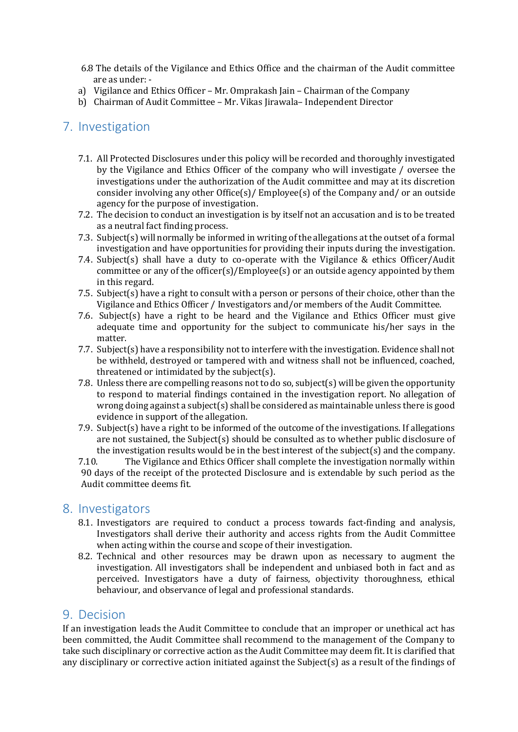- 6.8 The details of the Vigilance and Ethics Office and the chairman of the Audit committee are as under: -
- a) Vigilance and Ethics Officer Mr. Omprakash Jain Chairman of the Company
- b) Chairman of Audit Committee Mr. Vikas Jirawala– Independent Director

### <span id="page-4-0"></span>7. Investigation

- 7.1. All Protected Disclosures under this policy will be recorded and thoroughly investigated by the Vigilance and Ethics Officer of the company who will investigate / oversee the investigations under the authorization of the Audit committee and may at its discretion consider involving any other Office(s)/ Employee(s) of the Company and/ or an outside agency for the purpose of investigation.
- 7.2. The decision to conduct an investigation is by itself not an accusation and is to be treated as a neutral fact finding process.
- 7.3. Subject(s) will normally be informed in writing of the allegations at the outset of a formal investigation and have opportunities for providing their inputs during the investigation.
- 7.4. Subject(s) shall have a duty to co-operate with the Vigilance & ethics Officer/Audit committee or any of the officer(s)/Employee(s) or an outside agency appointed by them in this regard.
- 7.5. Subject(s) have a right to consult with a person or persons of their choice, other than the Vigilance and Ethics Officer / Investigators and/or members of the Audit Committee.
- 7.6. Subject(s) have a right to be heard and the Vigilance and Ethics Officer must give adequate time and opportunity for the subject to communicate his/her says in the matter.
- 7.7. Subject(s) have a responsibility not to interfere with the investigation. Evidence shall not be withheld, destroyed or tampered with and witness shall not be influenced, coached, threatened or intimidated by the subject(s).
- 7.8. Unless there are compelling reasons not to do so, subject(s) will be given the opportunity to respond to material findings contained in the investigation report. No allegation of wrong doing against a subject(s) shall be considered as maintainable unless there is good evidence in support of the allegation.
- 7.9. Subject(s) have a right to be informed of the outcome of the investigations. If allegations are not sustained, the Subject(s) should be consulted as to whether public disclosure of the investigation results would be in the best interest of the subject(s) and the company.<br>7.10. The Vigilance and Ethics Officer shall complete the investigation normally within
- The Vigilance and Ethics Officer shall complete the investigation normally within 90 days of the receipt of the protected Disclosure and is extendable by such period as the Audit committee deems fit.

#### <span id="page-4-1"></span>8. Investigators

- 8.1. Investigators are required to conduct a process towards fact-finding and analysis, Investigators shall derive their authority and access rights from the Audit Committee when acting within the course and scope of their investigation.
- 8.2. Technical and other resources may be drawn upon as necessary to augment the investigation. All investigators shall be independent and unbiased both in fact and as perceived. Investigators have a duty of fairness, objectivity thoroughness, ethical behaviour, and observance of legal and professional standards.

#### <span id="page-4-2"></span>9. Decision

If an investigation leads the Audit Committee to conclude that an improper or unethical act has been committed, the Audit Committee shall recommend to the management of the Company to take such disciplinary or corrective action as the Audit Committee may deem fit. It is clarified that any disciplinary or corrective action initiated against the Subject(s) as a result of the findings of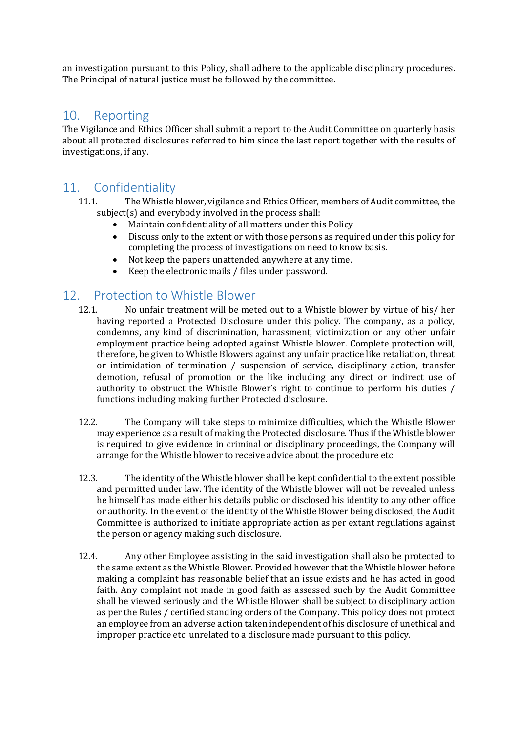an investigation pursuant to this Policy, shall adhere to the applicable disciplinary procedures. The Principal of natural justice must be followed by the committee.

#### <span id="page-5-0"></span>10. Reporting

The Vigilance and Ethics Officer shall submit a report to the Audit Committee on quarterly basis about all protected disclosures referred to him since the last report together with the results of investigations, if any.

## <span id="page-5-1"></span>11. Confidentiality

- 11.1. The Whistle blower, vigilance and Ethics Officer, members of Audit committee, the subject(s) and everybody involved in the process shall:
	- Maintain confidentiality of all matters under this Policy<br>• Discuss only to the extent or with those persons as requ
	- Discuss only to the extent or with those persons as required under this policy for completing the process of investigations on need to know basis.
	- Not keep the papers unattended anywhere at any time.<br>• Keep the electronic mails / files under password.
	- Keep the electronic mails / files under password.

# <span id="page-5-2"></span>12. Protection to Whistle Blower

- 12.1. No unfair treatment will be meted out to a Whistle blower by virtue of his/ her having reported a Protected Disclosure under this policy. The company, as a policy, condemns, any kind of discrimination, harassment, victimization or any other unfair employment practice being adopted against Whistle blower. Complete protection will, therefore, be given to Whistle Blowers against any unfair practice like retaliation, threat or intimidation of termination / suspension of service, disciplinary action, transfer demotion, refusal of promotion or the like including any direct or indirect use of authority to obstruct the Whistle Blower's right to continue to perform his duties / functions including making further Protected disclosure.
- 12.2. The Company will take steps to minimize difficulties, which the Whistle Blower may experience as a result of making the Protected disclosure. Thus if the Whistle blower is required to give evidence in criminal or disciplinary proceedings, the Company will arrange for the Whistle blower to receive advice about the procedure etc.
- 12.3. The identity of the Whistle blower shall be kept confidential to the extent possible and permitted under law. The identity of the Whistle blower will not be revealed unless he himself has made either his details public or disclosed his identity to any other office or authority. In the event of the identity of the Whistle Blower being disclosed, the Audit Committee is authorized to initiate appropriate action as per extant regulations against the person or agency making such disclosure.
- 12.4. Any other Employee assisting in the said investigation shall also be protected to the same extent as the Whistle Blower. Provided however that the Whistle blower before making a complaint has reasonable belief that an issue exists and he has acted in good faith. Any complaint not made in good faith as assessed such by the Audit Committee shall be viewed seriously and the Whistle Blower shall be subject to disciplinary action as per the Rules / certified standing orders of the Company. This policy does not protect an employee from an adverse action taken independent of his disclosure of unethical and improper practice etc. unrelated to a disclosure made pursuant to this policy.